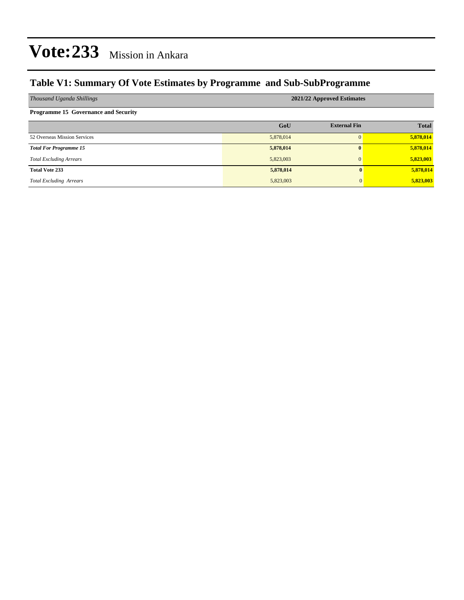## **Table V1: Summary Of Vote Estimates by Programme and Sub-SubProgramme**

| Thousand Uganda Shillings                   | 2021/22 Approved Estimates |                     |              |  |  |  |  |
|---------------------------------------------|----------------------------|---------------------|--------------|--|--|--|--|
| <b>Programme 15 Governance and Security</b> |                            |                     |              |  |  |  |  |
|                                             | GoU                        | <b>External Fin</b> | <b>Total</b> |  |  |  |  |
| 52 Overseas Mission Services                | 5,878,014                  |                     | 5,878,014    |  |  |  |  |
| <b>Total For Programme 15</b>               | 5,878,014                  | 0                   | 5,878,014    |  |  |  |  |
| <b>Total Excluding Arrears</b>              | 5,823,003                  | $\Omega$            | 5,823,003    |  |  |  |  |
| <b>Total Vote 233</b>                       | 5,878,014                  | $\mathbf{0}$        | 5,878,014    |  |  |  |  |
| <b>Total Excluding Arrears</b>              | 5,823,003                  | $\mathbf{0}$        | 5,823,003    |  |  |  |  |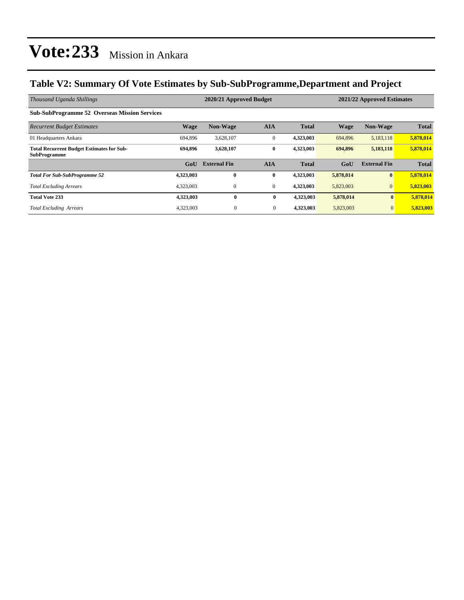## **Table V2: Summary Of Vote Estimates by Sub-SubProgramme,Department and Project**

| Thousand Uganda Shillings                                               |             | 2020/21 Approved Budget |              |              | 2021/22 Approved Estimates |                     |              |
|-------------------------------------------------------------------------|-------------|-------------------------|--------------|--------------|----------------------------|---------------------|--------------|
| <b>Sub-SubProgramme 52 Overseas Mission Services</b>                    |             |                         |              |              |                            |                     |              |
| <b>Recurrent Budget Estimates</b>                                       | <b>Wage</b> | <b>Non-Wage</b>         | <b>AIA</b>   | <b>Total</b> | <b>Wage</b>                | <b>Non-Wage</b>     | <b>Total</b> |
| 01 Headquarters Ankara                                                  | 694.896     | 3,628,107               | $\mathbf{0}$ | 4,323,003    | 694,896                    | 5,183,118           | 5,878,014    |
| <b>Total Recurrent Budget Estimates for Sub-</b><br><b>SubProgramme</b> | 694,896     | 3,628,107               | $\bf{0}$     | 4,323,003    | 694,896                    | 5,183,118           | 5,878,014    |
|                                                                         | GoU         | <b>External Fin</b>     | <b>AIA</b>   | <b>Total</b> | GoU                        | <b>External Fin</b> | <b>Total</b> |
| <b>Total For Sub-SubProgramme 52</b>                                    | 4,323,003   | $\bf{0}$                | $\bf{0}$     | 4,323,003    | 5,878,014                  | $\bf{0}$            | 5,878,014    |
| <b>Total Excluding Arrears</b>                                          | 4,323,003   | $\mathbf{0}$            | $\mathbf{0}$ | 4,323,003    | 5,823,003                  | $\mathbf{0}$        | 5,823,003    |
| <b>Total Vote 233</b>                                                   | 4,323,003   | $\bf{0}$                | $\bf{0}$     | 4,323,003    | 5,878,014                  | $\mathbf{0}$        | 5,878,014    |
| <b>Total Excluding Arrears</b>                                          | 4,323,003   | $\overline{0}$          | $\mathbf{0}$ | 4,323,003    | 5,823,003                  | $\mathbf{0}$        | 5,823,003    |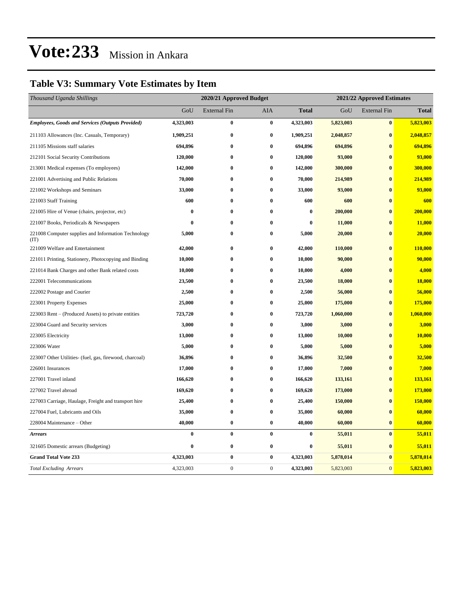## **Table V3: Summary Vote Estimates by Item**

| Thousand Uganda Shillings                                   | 2020/21 Approved Budget |                     |                  |              | 2021/22 Approved Estimates |                     |              |  |
|-------------------------------------------------------------|-------------------------|---------------------|------------------|--------------|----------------------------|---------------------|--------------|--|
|                                                             | GoU                     | <b>External Fin</b> | AIA              | <b>Total</b> | GoU                        | <b>External Fin</b> | <b>Total</b> |  |
| <b>Employees, Goods and Services (Outputs Provided)</b>     | 4,323,003               | $\bf{0}$            | $\bf{0}$         | 4,323,003    | 5,823,003                  | $\pmb{0}$           | 5,823,003    |  |
| 211103 Allowances (Inc. Casuals, Temporary)                 | 1,909,251               | $\bf{0}$            | $\bf{0}$         | 1,909,251    | 2,048,857                  | $\bf{0}$            | 2,048,857    |  |
| 211105 Missions staff salaries                              | 694,896                 | $\bf{0}$            | $\bf{0}$         | 694,896      | 694,896                    | $\bf{0}$            | 694,896      |  |
| 212101 Social Security Contributions                        | 120,000                 | $\bf{0}$            | $\bf{0}$         | 120,000      | 93,000                     | $\bf{0}$            | 93,000       |  |
| 213001 Medical expenses (To employees)                      | 142,000                 | $\bf{0}$            | $\bf{0}$         | 142,000      | 300,000                    | $\bf{0}$            | 300,000      |  |
| 221001 Advertising and Public Relations                     | 70,000                  | $\bf{0}$            | $\bf{0}$         | 70,000       | 214,989                    | $\bf{0}$            | 214,989      |  |
| 221002 Workshops and Seminars                               | 33,000                  | $\bf{0}$            | $\bf{0}$         | 33,000       | 93,000                     | $\bf{0}$            | 93,000       |  |
| 221003 Staff Training                                       | 600                     | $\bf{0}$            | $\bf{0}$         | 600          | 600                        | $\bf{0}$            | 600          |  |
| 221005 Hire of Venue (chairs, projector, etc)               | $\bf{0}$                | $\bf{0}$            | $\bf{0}$         | $\bf{0}$     | 200,000                    | $\bf{0}$            | 200,000      |  |
| 221007 Books, Periodicals & Newspapers                      | 0                       | 0                   | $\bf{0}$         | $\bf{0}$     | 11,000                     | $\bf{0}$            | 11,000       |  |
| 221008 Computer supplies and Information Technology<br>(TT) | 5,000                   | $\bf{0}$            | $\bf{0}$         | 5,000        | 20,000                     | $\bf{0}$            | 20,000       |  |
| 221009 Welfare and Entertainment                            | 42,000                  | $\bf{0}$            | $\bf{0}$         | 42,000       | 110,000                    | $\bf{0}$            | 110,000      |  |
| 221011 Printing, Stationery, Photocopying and Binding       | 10,000                  | $\bf{0}$            | $\bf{0}$         | 10,000       | 90,000                     | $\bf{0}$            | 90,000       |  |
| 221014 Bank Charges and other Bank related costs            | 10,000                  | $\bf{0}$            | $\bf{0}$         | 10,000       | 4,000                      | $\bf{0}$            | 4,000        |  |
| 222001 Telecommunications                                   | 23,500                  | $\bf{0}$            | $\bf{0}$         | 23,500       | 18,000                     | $\bf{0}$            | 18,000       |  |
| 222002 Postage and Courier                                  | 2,500                   | $\bf{0}$            | $\bf{0}$         | 2,500        | 56,000                     | $\bf{0}$            | 56,000       |  |
| 223001 Property Expenses                                    | 25,000                  | $\bf{0}$            | $\bf{0}$         | 25,000       | 175,000                    | $\bf{0}$            | 175,000      |  |
| 223003 Rent – (Produced Assets) to private entities         | 723,720                 | $\bf{0}$            | $\bf{0}$         | 723,720      | 1,060,000                  | $\bf{0}$            | 1,060,000    |  |
| 223004 Guard and Security services                          | 3,000                   | $\bf{0}$            | $\bf{0}$         | 3,000        | 3,000                      | $\bf{0}$            | 3,000        |  |
| 223005 Electricity                                          | 13,000                  | $\bf{0}$            | $\bf{0}$         | 13,000       | 10,000                     | $\bf{0}$            | 10,000       |  |
| 223006 Water                                                | 5,000                   | $\bf{0}$            | $\bf{0}$         | 5,000        | 5,000                      | $\bf{0}$            | 5,000        |  |
| 223007 Other Utilities- (fuel, gas, firewood, charcoal)     | 36,896                  | $\bf{0}$            | $\bf{0}$         | 36,896       | 32,500                     | $\bf{0}$            | 32,500       |  |
| 226001 Insurances                                           | 17,000                  | $\bf{0}$            | $\bf{0}$         | 17,000       | 7,000                      | $\bf{0}$            | 7,000        |  |
| 227001 Travel inland                                        | 166,620                 | $\bf{0}$            | $\bf{0}$         | 166,620      | 133,161                    | $\bf{0}$            | 133,161      |  |
| 227002 Travel abroad                                        | 169,620                 | $\bf{0}$            | $\bf{0}$         | 169,620      | 173,000                    | $\bf{0}$            | 173,000      |  |
| 227003 Carriage, Haulage, Freight and transport hire        | 25,400                  | $\bf{0}$            | $\bf{0}$         | 25,400       | 150,000                    | $\bf{0}$            | 150,000      |  |
| 227004 Fuel, Lubricants and Oils                            | 35,000                  | $\bf{0}$            | $\bf{0}$         | 35,000       | 60,000                     | $\bf{0}$            | 60,000       |  |
| 228004 Maintenance - Other                                  | 40,000                  | $\bf{0}$            | $\bf{0}$         | 40,000       | 60,000                     | $\bf{0}$            | 60,000       |  |
| <b>Arrears</b>                                              | 0                       | $\bf{0}$            | $\bf{0}$         | $\bf{0}$     | 55,011                     | $\bf{0}$            | 55,011       |  |
| 321605 Domestic arrears (Budgeting)                         | 0                       | $\bf{0}$            | $\bf{0}$         | $\bf{0}$     | 55,011                     | $\bf{0}$            | 55,011       |  |
| <b>Grand Total Vote 233</b>                                 | 4,323,003               | $\pmb{0}$           | $\bf{0}$         | 4,323,003    | 5,878,014                  | $\bf{0}$            | 5,878,014    |  |
| <b>Total Excluding Arrears</b>                              | 4,323,003               | $\boldsymbol{0}$    | $\boldsymbol{0}$ | 4,323,003    | 5,823,003                  | $\boldsymbol{0}$    | 5,823,003    |  |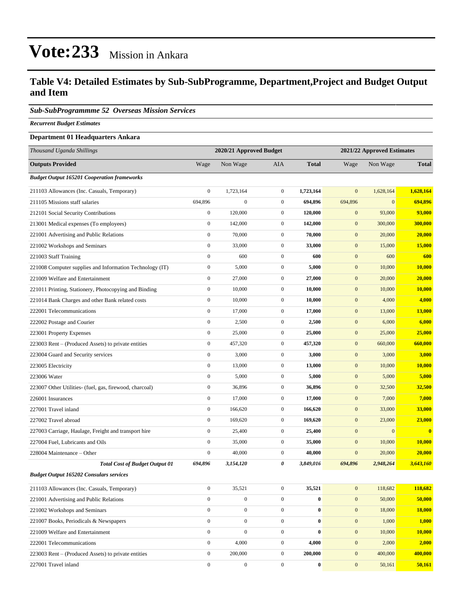### **Table V4: Detailed Estimates by Sub-SubProgramme, Department,Project and Budget Output and Item**

#### *Sub-SubProgrammme 52 Overseas Mission Services*

*Recurrent Budget Estimates*

### **Department 01 Headquarters Ankara**

| Thousand Uganda Shillings                                | 2020/21 Approved Budget |                  |                  | 2021/22 Approved Estimates |              |              |               |
|----------------------------------------------------------|-------------------------|------------------|------------------|----------------------------|--------------|--------------|---------------|
| <b>Outputs Provided</b>                                  | Wage                    | Non Wage         | AIA              | <b>Total</b>               | Wage         | Non Wage     | <b>Total</b>  |
| <b>Budget Output 165201 Cooperation frameworks</b>       |                         |                  |                  |                            |              |              |               |
| 211103 Allowances (Inc. Casuals, Temporary)              | $\boldsymbol{0}$        | 1,723,164        | $\overline{0}$   | 1,723,164                  | $\mathbf{0}$ | 1,628,164    | 1,628,164     |
| 211105 Missions staff salaries                           | 694,896                 | $\boldsymbol{0}$ | $\mathbf{0}$     | 694,896                    | 694,896      | $\mathbf{0}$ | 694,896       |
| 212101 Social Security Contributions                     | $\boldsymbol{0}$        | 120,000          | $\mathbf{0}$     | 120,000                    | $\mathbf{0}$ | 93,000       | 93,000        |
| 213001 Medical expenses (To employees)                   | $\boldsymbol{0}$        | 142,000          | $\mathbf{0}$     | 142,000                    | $\mathbf{0}$ | 300,000      | 300,000       |
| 221001 Advertising and Public Relations                  | $\boldsymbol{0}$        | 70,000           | $\mathbf{0}$     | 70,000                     | $\mathbf{0}$ | 20,000       | 20,000        |
| 221002 Workshops and Seminars                            | $\boldsymbol{0}$        | 33,000           | $\overline{0}$   | 33,000                     | $\mathbf{0}$ | 15,000       | 15,000        |
| 221003 Staff Training                                    | $\mathbf{0}$            | 600              | $\overline{0}$   | 600                        | $\mathbf{0}$ | 600          | 600           |
| 221008 Computer supplies and Information Technology (IT) | $\boldsymbol{0}$        | 5,000            | $\mathbf{0}$     | 5,000                      | $\mathbf{0}$ | 10,000       | 10,000        |
| 221009 Welfare and Entertainment                         | $\boldsymbol{0}$        | 27,000           | $\mathbf{0}$     | 27,000                     | $\mathbf{0}$ | 20,000       | 20,000        |
| 221011 Printing, Stationery, Photocopying and Binding    | $\boldsymbol{0}$        | 10,000           | $\mathbf{0}$     | 10,000                     | $\mathbf{0}$ | 10,000       | 10,000        |
| 221014 Bank Charges and other Bank related costs         | $\boldsymbol{0}$        | 10,000           | $\mathbf{0}$     | 10,000                     | $\mathbf{0}$ | 4,000        | 4,000         |
| 222001 Telecommunications                                | $\boldsymbol{0}$        | 17,000           | $\mathbf{0}$     | 17,000                     | $\mathbf{0}$ | 13,000       | 13,000        |
| 222002 Postage and Courier                               | $\boldsymbol{0}$        | 2,500            | $\mathbf{0}$     | 2,500                      | $\mathbf{0}$ | 6,000        | 6,000         |
| 223001 Property Expenses                                 | $\boldsymbol{0}$        | 25,000           | $\overline{0}$   | 25,000                     | $\mathbf{0}$ | 25,000       | 25,000        |
| 223003 Rent – (Produced Assets) to private entities      | $\boldsymbol{0}$        | 457,320          | $\mathbf{0}$     | 457,320                    | $\mathbf{0}$ | 660,000      | 660,000       |
| 223004 Guard and Security services                       | $\boldsymbol{0}$        | 3,000            | $\overline{0}$   | 3,000                      | $\mathbf{0}$ | 3,000        | 3,000         |
| 223005 Electricity                                       | $\boldsymbol{0}$        | 13,000           | $\mathbf{0}$     | 13,000                     | $\mathbf{0}$ | 10,000       | 10,000        |
| 223006 Water                                             | $\boldsymbol{0}$        | 5,000            | $\mathbf{0}$     | 5,000                      | $\mathbf{0}$ | 5,000        | 5,000         |
| 223007 Other Utilities- (fuel, gas, firewood, charcoal)  | $\boldsymbol{0}$        | 36,896           | $\mathbf{0}$     | 36,896                     | $\mathbf{0}$ | 32,500       | 32,500        |
| 226001 Insurances                                        | $\boldsymbol{0}$        | 17,000           | $\mathbf{0}$     | 17,000                     | $\mathbf{0}$ | 7,000        | 7,000         |
| 227001 Travel inland                                     | $\boldsymbol{0}$        | 166,620          | $\overline{0}$   | 166,620                    | $\mathbf{0}$ | 33,000       | 33,000        |
| 227002 Travel abroad                                     | $\mathbf{0}$            | 169,620          | $\mathbf{0}$     | 169,620                    | $\mathbf{0}$ | 23,000       | 23,000        |
| 227003 Carriage, Haulage, Freight and transport hire     | $\boldsymbol{0}$        | 25,400           | $\mathbf{0}$     | 25,400                     | $\mathbf{0}$ | $\mathbf{0}$ | $\bf{0}$      |
| 227004 Fuel, Lubricants and Oils                         | $\boldsymbol{0}$        | 35,000           | $\mathbf{0}$     | 35,000                     | $\bf{0}$     | 10,000       | <b>10,000</b> |
| 228004 Maintenance – Other                               | $\boldsymbol{0}$        | 40,000           | $\mathbf{0}$     | 40,000                     | $\mathbf{0}$ | 20,000       | 20,000        |
| <b>Total Cost of Budget Output 01</b>                    | 694,896                 | 3,154,120        | 0                | 3,849,016                  | 694,896      | 2,948,264    | 3,643,160     |
| <b>Budget Output 165202 Consulars services</b>           |                         |                  |                  |                            |              |              |               |
| 211103 Allowances (Inc. Casuals, Temporary)              | $\boldsymbol{0}$        | 35,521           | $\boldsymbol{0}$ | 35,521                     | $\mathbf{0}$ | 118,682      | 118,682       |
| 221001 Advertising and Public Relations                  | $\boldsymbol{0}$        | $\boldsymbol{0}$ | $\mathbf{0}$     | $\bf{0}$                   | $\mathbf{0}$ | 50,000       | 50,000        |
| 221002 Workshops and Seminars                            | $\mathbf{0}$            | $\boldsymbol{0}$ | $\overline{0}$   | $\bf{0}$                   | $\mathbf{0}$ | 18,000       | 18,000        |
| 221007 Books, Periodicals & Newspapers                   | $\boldsymbol{0}$        | $\boldsymbol{0}$ | $\overline{0}$   | $\bf{0}$                   | $\mathbf{0}$ | 1,000        | 1,000         |
| 221009 Welfare and Entertainment                         | $\boldsymbol{0}$        | $\boldsymbol{0}$ | $\boldsymbol{0}$ | $\bf{0}$                   | $\mathbf{0}$ | 10,000       | 10,000        |
| 222001 Telecommunications                                | $\boldsymbol{0}$        | 4,000            | $\boldsymbol{0}$ | 4,000                      | $\mathbf{0}$ | 2,000        | 2,000         |
| 223003 Rent - (Produced Assets) to private entities      | $\boldsymbol{0}$        | 200,000          | $\boldsymbol{0}$ | 200,000                    | $\mathbf{0}$ | 400,000      | 400,000       |
| 227001 Travel inland                                     | $\boldsymbol{0}$        | $\boldsymbol{0}$ | $\boldsymbol{0}$ | $\bf{0}$                   | $\mathbf{0}$ | 50,161       | 50,161        |